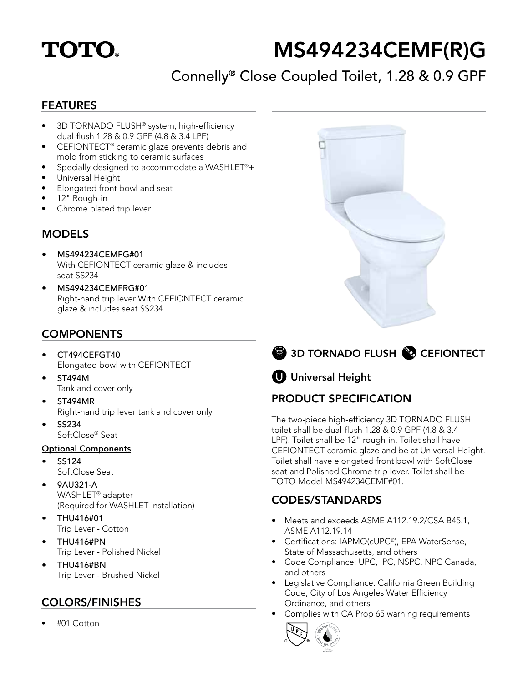# **TOTO**

# MS494234CEMF(R)G

# Connelly® Close Coupled Toilet, 1.28 & 0.9 GPF

## FEATURES

- 3D TORNADO FLUSH® system, high-efficiency dual-flush 1.28 & 0.9 GPF (4.8 & 3.4 LPF)
- CEFIONTECT® ceramic glaze prevents debris and mold from sticking to ceramic surfaces
- Specially designed to accommodate a WASHLET®+
- Universal Height
- Elongated front bowl and seat
- 12" Rough-in
- Chrome plated trip lever

## **MODELS**

- MS494234CEMFG#01 With CEFIONTECT ceramic glaze & includes seat SS234
- MS494234CEMFRG#01 Right-hand trip lever With CEFIONTECT ceramic glaze & includes seat SS234

## **COMPONENTS**

- CT494CEFGT40 Elongated bowl with CEFIONTECT
- ST494M Tank and cover only
- ST494MR Right-hand trip lever tank and cover only
- SS234 SoftClose® Seat

#### Optional Components

- SS124 SoftClose Seat
- 9AU321-A WASHLET® adapter (Required for WASHLET installation)
- THU416#01 Trip Lever - Cotton
- THU416#PN Trip Lever - Polished Nickel
- THU416#BN Trip Lever - Brushed Nickel

## COLORS/FINISHES

• #01 Cotton



3D TORNADO FLUSH & CEFIONTECT

# **U** Universal Height

## PRODUCT SPECIFICATION

The two-piece high-efficiency 3D TORNADO FLUSH toilet shall be dual-flush 1.28 & 0.9 GPF (4.8 & 3.4 LPF). Toilet shall be 12" rough-in. Toilet shall have CEFIONTECT ceramic glaze and be at Universal Height. Toilet shall have elongated front bowl with SoftClose seat and Polished Chrome trip lever. Toilet shall be TOTO Model MS494234CEMF#01.

## CODES/STANDARDS

- Meets and exceeds ASME A112.19.2/CSA B45.1, ASME A112.19.14
- Certifications: IAPMO(cUPC®), EPA WaterSense, State of Massachusetts, and others
- Code Compliance: UPC, IPC, NSPC, NPC Canada, and others
- Legislative Compliance: California Green Building Code, City of Los Angeles Water Efficiency Ordinance, and others
- Complies with CA Prop 65 warning requirements